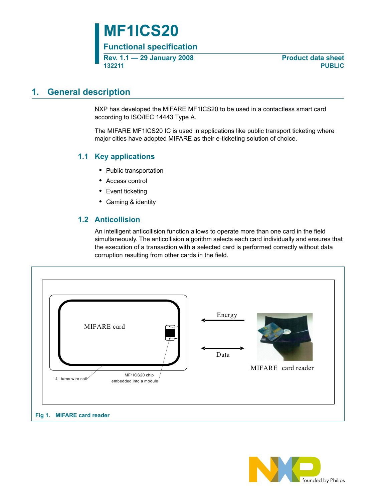# **MF1ICS20**

**Functional specification**

**Rev. 1.1 — 29 January 2008** Product data sheet **132211 PUBLIC**

## <span id="page-0-0"></span>**1. General description**

NXP has developed the MIFARE MF1ICS20 to be used in a contactless smart card according to ISO/IEC 14443 Type A.

The MIFARE MF1ICS20 IC is used in applications like public transport ticketing where major cities have adopted MIFARE as their e-ticketing solution of choice.

## <span id="page-0-1"></span>**1.1 Key applications**

- **•** Public transportation
- **•** Access control
- **•** Event ticketing
- **•** Gaming & identity

## **1.2 Anticollision**

An intelligent anticollision function allows to operate more than one card in the field simultaneously. The anticollision algorithm selects each card individually and ensures that the execution of a transaction with a selected card is performed correctly without data corruption resulting from other cards in the field.

<span id="page-0-2"></span>

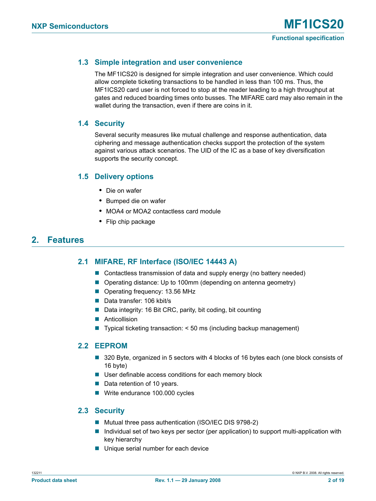## <span id="page-1-0"></span>**1.3 Simple integration and user convenience**

The MF1ICS20 is designed for simple integration and user convenience. Which could allow complete ticketing transactions to be handled in less than 100 ms. Thus, the MF1ICS20 card user is not forced to stop at the reader leading to a high throughput at gates and reduced boarding times onto busses. The MIFARE card may also remain in the wallet during the transaction, even if there are coins in it.

### <span id="page-1-1"></span>**1.4 Security**

Several security measures like mutual challenge and response authentication, data ciphering and message authentication checks support the protection of the system against various attack scenarios. The UID of the IC as a base of key diversification supports the security concept.

### <span id="page-1-2"></span>**1.5 Delivery options**

- **•** Die on wafer
- **•** Bumped die on wafer
- **•** MOA4 or MOA2 contactless card module
- **•** Flip chip package

## <span id="page-1-4"></span><span id="page-1-3"></span>**2. Features**

### **2.1 MIFARE' RF Interface (ISO/IEC 14443 A)**

- Contactless transmission of data and supply energy (no battery needed)
- Operating distance: Up to 100mm (depending on antenna geometry)
- Operating frequency: 13.56 MHz
- Data transfer: 106 kbit/s
- Data integrity: 16 Bit CRC, parity, bit coding, bit counting
- **Anticollision**
- $\blacksquare$  Typical ticketing transaction: < 50 ms (including backup management)

#### <span id="page-1-5"></span>**2.2 EEPROM**

- 320 Byte, organized in 5 sectors with 4 blocks of 16 bytes each (one block consists of 16 byte)
- User definable access conditions for each memory block
- Data retention of 10 years.
- Write endurance 100.000 cycles

### <span id="page-1-6"></span>**2.3 Security**

- Mutual three pass authentication (ISO/IEC DIS 9798-2)
- Individual set of two keys per sector (per application) to support multi-application with key hierarchy
- **Unique serial number for each device**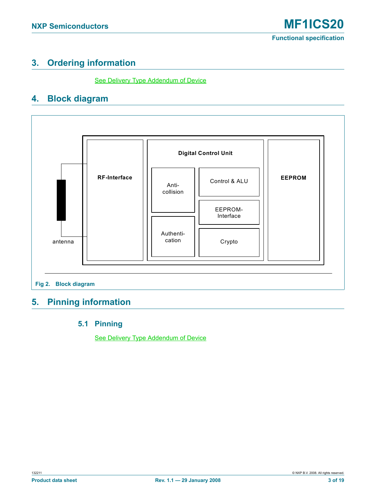## <span id="page-2-1"></span>**3. Ordering information**

See Delivery Type Addendum of Device

## <span id="page-2-2"></span>**4. Block diagram**



## <span id="page-2-4"></span><span id="page-2-3"></span><span id="page-2-0"></span>**5. Pinning information**

## **5.1 Pinning**

See Delivery Type Addendum of Device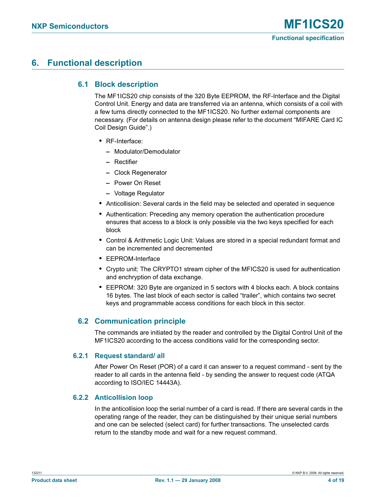## <span id="page-3-1"></span><span id="page-3-0"></span>**6. Functional description**

## **6.1 Block description**

The MF1ICS20 chip consists of the 320 Byte EEPROM, the RF-Interface and the Digital Control Unit. Energy and data are transferred via an antenna, which consists of a coil with a few turns directly connected to the MF1ICS20. No further external components are necessary. (For details on antenna design please refer to the document "MIFARE Card IC Coil Design Guide".)

- **•** RF-Interface:
	- **–** Modulator/Demodulator
	- **–** Rectifier
	- **–** Clock Regenerator
	- **–** Power On Reset
	- **–** Voltage Regulator
- **•** Anticollision: Several cards in the field may be selected and operated in sequence
- **•** Authentication: Preceding any memory operation the authentication procedure ensures that access to a block is only possible via the two keys specified for each block
- **•** Control & Arithmetic Logic Unit: Values are stored in a special redundant format and can be incremented and decremented
- **•** EEPROM-Interface
- **•** Crypto unit: The CRYPTO1 stream cipher of the MFICS20 is used for authentication and enchryption of data exchange.
- **•** EEPROM: 320 Byte are organized in 5 sectors with 4 blocks each. A block contains 16 bytes. The last block of each sector is called "trailer", which contains two secret keys and programmable access conditions for each block in this sector.

## <span id="page-3-2"></span>**6.2 Communication principle**

The commands are initiated by the reader and controlled by the Digital Control Unit of the MF1ICS20 according to the access conditions valid for the corresponding sector.

#### <span id="page-3-3"></span>**6.2.1 Request standard/ all**

After Power On Reset (POR) of a card it can answer to a request command - sent by the reader to all cards in the antenna field - by sending the answer to request code (ATQA according to ISO/IEC 14443A).

### <span id="page-3-4"></span>**6.2.2 Anticollision loop**

In the anticollision loop the serial number of a card is read. If there are several cards in the operating range of the reader, they can be distinguished by their unique serial numbers and one can be selected (select card) for further transactions. The unselected cards return to the standby mode and wait for a new request command.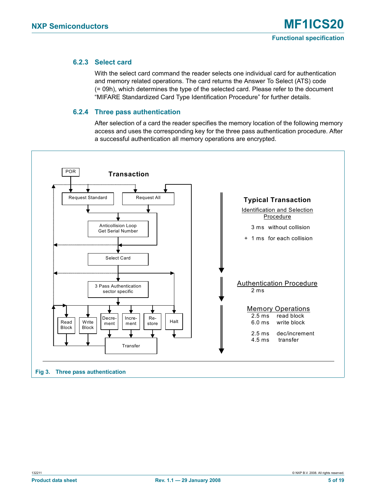### <span id="page-4-1"></span>**6.2.3 Select card**

With the select card command the reader selects one individual card for authentication and memory related operations. The card returns the Answer To Select (ATS) code (= 09h), which determines the type of the selected card. Please refer to the document "MIFARE Standardized Card Type Identification Procedure" for further details.

### **6.2.4 Three pass authentication**

After selection of a card the reader specifies the memory location of the following memory access and uses the corresponding key for the three pass authentication procedure. After a successful authentication all memory operations are encrypted.

<span id="page-4-2"></span><span id="page-4-0"></span>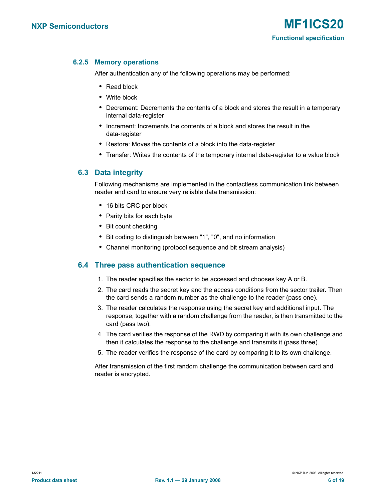### <span id="page-5-0"></span>**6.2.5 Memory operations**

After authentication any of the following operations may be performed:

- **•** Read block
- **•** Write block
- **•** Decrement: Decrements the contents of a block and stores the result in a temporary internal data-register
- **•** Increment: Increments the contents of a block and stores the result in the data-register
- **•** Restore: Moves the contents of a block into the data-register
- **•** Transfer: Writes the contents of the temporary internal data-register to a value block

### <span id="page-5-1"></span>**6.3 Data integrity**

Following mechanisms are implemented in the contactless communication link between reader and card to ensure very reliable data transmission:

- **•** 16 bits CRC per block
- **•** Parity bits for each byte
- **•** Bit count checking
- **•** Bit coding to distinguish between "1", "0", and no information
- **•** Channel monitoring (protocol sequence and bit stream analysis)

### <span id="page-5-2"></span>**6.4 Three pass authentication sequence**

- 1. The reader specifies the sector to be accessed and chooses key A or B.
- 2. The card reads the secret key and the access conditions from the sector trailer. Then the card sends a random number as the challenge to the reader (pass one).
- 3. The reader calculates the response using the secret key and additional input. The response, together with a random challenge from the reader, is then transmitted to the card (pass two).
- 4. The card verifies the response of the RWD by comparing it with its own challenge and then it calculates the response to the challenge and transmits it (pass three).
- 5. The reader verifies the response of the card by comparing it to its own challenge.

After transmission of the first random challenge the communication between card and reader is encrypted.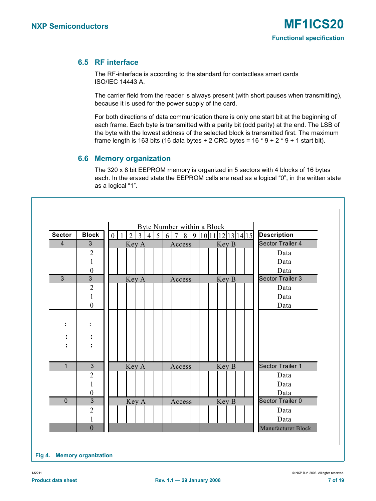## <span id="page-6-1"></span>**6.5 RF interface**

The RF-interface is according to the standard for contactless smart cards ISO/IEC 14443 A.

The carrier field from the reader is always present (with short pauses when transmitting), because it is used for the power supply of the card.

For both directions of data communication there is only one start bit at the beginning of each frame. Each byte is transmitted with a parity bit (odd parity) at the end. The LSB of the byte with the lowest address of the selected block is transmitted first. The maximum frame length is 163 bits (16 data bytes + 2 CRC bytes =  $16 * 9 + 2 * 9 + 1$  start bit).

### <span id="page-6-2"></span>**6.6 Memory organization**

The 320 x 8 bit EEPROM memory is organized in 5 sectors with 4 blocks of 16 bytes each. In the erased state the EEPROM cells are read as a logical "0", in the written state as a logical "1".

<span id="page-6-0"></span>

| <b>Sector</b>  | <b>Block</b>     | $\boldsymbol{0}$ | $\overline{3}$<br>$\overline{2}$ | $\overline{4}$ | 5 | Byte Number within a Block<br>6<br>$\overline{7}$ | 8      | 9 |  |       | 10 11 12 13 14 15 | <b>Description</b>      |
|----------------|------------------|------------------|----------------------------------|----------------|---|---------------------------------------------------|--------|---|--|-------|-------------------|-------------------------|
| 4              | 3                |                  | Key A                            |                |   |                                                   | Access |   |  | Key B |                   | Sector Trailer 4        |
|                | $\overline{c}$   |                  |                                  |                |   |                                                   |        |   |  |       |                   | Data                    |
|                | 1                |                  |                                  |                |   |                                                   |        |   |  |       |                   | Data                    |
|                | $\boldsymbol{0}$ |                  |                                  |                |   |                                                   |        |   |  |       |                   | Data                    |
| $\overline{3}$ | $\overline{3}$   |                  | Key A                            |                |   |                                                   | Access |   |  | Key B |                   | <b>Sector Trailer 3</b> |
|                | $\overline{2}$   |                  |                                  |                |   |                                                   |        |   |  |       |                   | Data                    |
|                | $\mathbf{1}$     |                  |                                  |                |   |                                                   |        |   |  |       |                   | Data                    |
|                | $\boldsymbol{0}$ |                  |                                  |                |   |                                                   |        |   |  |       |                   | Data                    |
|                |                  |                  |                                  |                |   |                                                   |        |   |  |       |                   |                         |
| t              |                  |                  |                                  |                |   |                                                   |        |   |  |       |                   |                         |
| :              |                  |                  |                                  |                |   |                                                   |        |   |  |       |                   |                         |
| $\bullet$      |                  |                  |                                  |                |   |                                                   |        |   |  |       |                   |                         |
|                |                  |                  |                                  |                |   |                                                   |        |   |  |       |                   |                         |
| $\mathbf{1}$   | $\mathbf{3}$     |                  | Key A                            |                |   |                                                   | Access |   |  | Key B |                   | Sector Trailer 1        |
|                | $\overline{2}$   |                  |                                  |                |   |                                                   |        |   |  |       |                   | Data                    |
|                | 1                |                  |                                  |                |   |                                                   |        |   |  |       |                   | Data                    |
|                | $\boldsymbol{0}$ |                  |                                  |                |   |                                                   |        |   |  |       |                   | Data                    |
| $\overline{0}$ | $\overline{3}$   |                  | Key A                            |                |   |                                                   | Access |   |  | Key B |                   | Sector Trailer 0        |
|                | $\overline{2}$   |                  |                                  |                |   |                                                   |        |   |  |       |                   | Data                    |
|                | 1                |                  |                                  |                |   |                                                   |        |   |  |       |                   | Data                    |
|                | $\mathbf{0}$     |                  |                                  |                |   |                                                   |        |   |  |       |                   | Manufacturer Block      |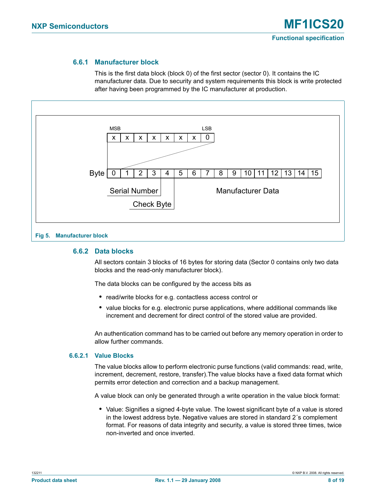### **6.6.1 Manufacturer block**

This is the first data block (block 0) of the first sector (sector 0). It contains the IC manufacturer data. Due to security and system requirements this block is write protected after having been programmed by the IC manufacturer at production.

<span id="page-7-1"></span>

#### <span id="page-7-2"></span><span id="page-7-0"></span>**6.6.2 Data blocks**

All sectors contain 3 blocks of 16 bytes for storing data (Sector 0 contains only two data blocks and the read-only manufacturer block).

The data blocks can be configured by the access bits as

- **•** read/write blocks for e.g. contactless access control or
- **•** value blocks for e.g. electronic purse applications, where additional commands like increment and decrement for direct control of the stored value are provided.

An authentication command has to be carried out before any memory operation in order to allow further commands.

#### <span id="page-7-3"></span>**6.6.2.1 Value Blocks**

The value blocks allow to perform electronic purse functions (valid commands: read, write, increment, decrement, restore, transfer).The value blocks have a fixed data format which permits error detection and correction and a backup management.

A value block can only be generated through a write operation in the value block format:

**•** Value: Signifies a signed 4-byte value. The lowest significant byte of a value is stored in the lowest address byte. Negative values are stored in standard 2´s complement format. For reasons of data integrity and security, a value is stored three times, twice non-inverted and once inverted.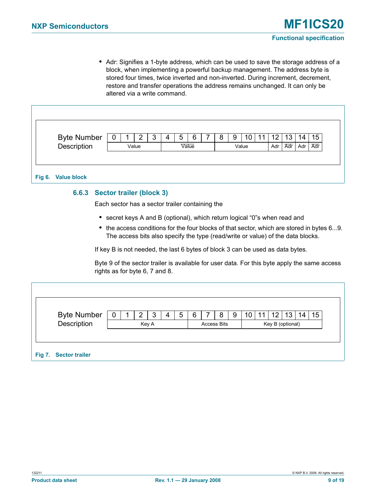**•** Adr: Signifies a 1-byte address, which can be used to save the storage address of a block, when implementing a powerful backup management. The address byte is stored four times, twice inverted and non-inverted. During increment, decrement, restore and transfer operations the address remains unchanged. It can only be altered via a write command.

|                            | U | 2     | 4 | 5 | 6     |  | 9     | 10 | 12  | 13 <sup>°</sup> | 14  | 15  |
|----------------------------|---|-------|---|---|-------|--|-------|----|-----|-----------------|-----|-----|
| Byte Number<br>Description |   | Value |   |   | Value |  | Value |    | Adr | Adr             | Adr | Adr |

### <span id="page-8-2"></span><span id="page-8-0"></span>**6.6.3 Sector trailer (block 3)**

Each sector has a sector trailer containing the

- **•** secret keys A and B (optional), which return logical "0"s when read and
- the access conditions for the four blocks of that sector, which are stored in bytes 6...9. The access bits also specify the type (read/write or value) of the data blocks.

If key B is not needed, the last 6 bytes of block 3 can be used as data bytes.

Byte 9 of the sector trailer is available for user data. For this byte apply the same access rights as for byte 6, 7 and 8.

<span id="page-8-1"></span>

| Byte Number<br>Description | U |  | Key A | 5 | <b>Access Bits</b> | 8 | 9 | 10 | 12<br>Key B (optional) | 13 | 14 | 15 |  |
|----------------------------|---|--|-------|---|--------------------|---|---|----|------------------------|----|----|----|--|
|                            |   |  |       |   |                    |   |   |    |                        |    |    |    |  |
| Fig 7. Sector trailer      |   |  |       |   |                    |   |   |    |                        |    |    |    |  |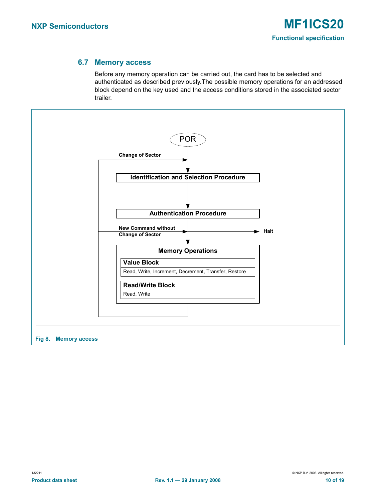### **6.7 Memory access**

Before any memory operation can be carried out, the card has to be selected and authenticated as described previously.The possible memory operations for an addressed block depend on the key used and the access conditions stored in the associated sector trailer.

<span id="page-9-1"></span><span id="page-9-0"></span>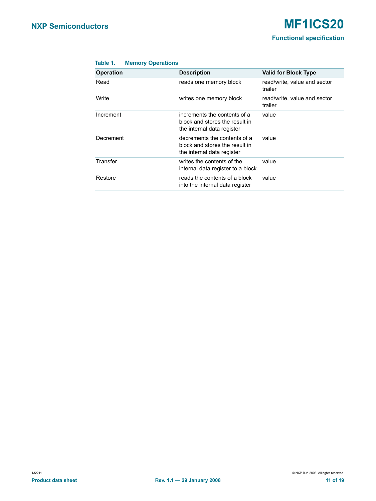<span id="page-10-0"></span>

| Table 1. |  | <b>Memory Operations</b> |
|----------|--|--------------------------|
|          |  |                          |

| <b>Operation</b> | <b>Description</b>                                                                           | <b>Valid for Block Type</b>             |
|------------------|----------------------------------------------------------------------------------------------|-----------------------------------------|
| Read             | reads one memory block                                                                       | read/write, value and sector<br>trailer |
| Write            | writes one memory block                                                                      | read/write, value and sector<br>trailer |
| Increment        | increments the contents of a<br>block and stores the result in<br>the internal data register | value                                   |
| Decrement        | decrements the contents of a<br>block and stores the result in<br>the internal data register | value                                   |
| Transfer         | writes the contents of the<br>internal data register to a block                              | value                                   |
| Restore          | reads the contents of a block<br>into the internal data register                             | value                                   |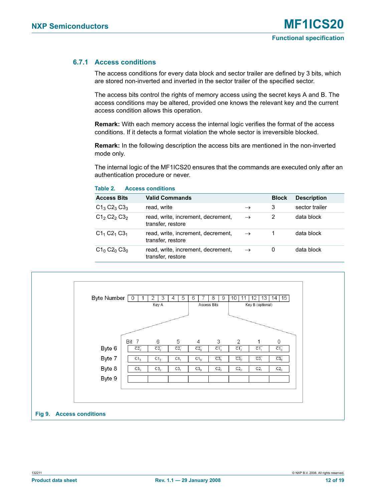### <span id="page-11-2"></span>**6.7.1 Access conditions**

<span id="page-11-0"></span>**Table 2. Access conditions**

The access conditions for every data block and sector trailer are defined by 3 bits, which are stored non-inverted and inverted in the sector trailer of the specified sector.

The access bits control the rights of memory access using the secret keys A and B. The access conditions may be altered, provided one knows the relevant key and the current access condition allows this operation.

**Remark:** With each memory access the internal logic verifies the format of the access conditions. If it detects a format violation the whole sector is irreversible blocked.

**Remark:** In the following description the access bits are mentioned in the non-inverted mode only.

The internal logic of the MF1ICS20 ensures that the commands are executed only after an authentication procedure or never.

| <b>Access Bits</b> | <b>Valid Commands</b>                                   |               | <b>Block</b> | <b>Description</b> |
|--------------------|---------------------------------------------------------|---------------|--------------|--------------------|
| $C1_3 C2_3 C3_3$   | read, write                                             | $\rightarrow$ | 3            | sector trailer     |
| $C12 C22 C32$      | read, write, increment, decrement,<br>transfer, restore | $\rightarrow$ | 2            | data block         |
| $C1_1 C2_1 C3_1$   | read, write, increment, decrement,<br>transfer, restore | $\rightarrow$ |              | data block         |
| $C1_0 C2_0 C3_0$   | read, write, increment, decrement,<br>transfer, restore | $\rightarrow$ | 0            | data block         |



<span id="page-11-1"></span>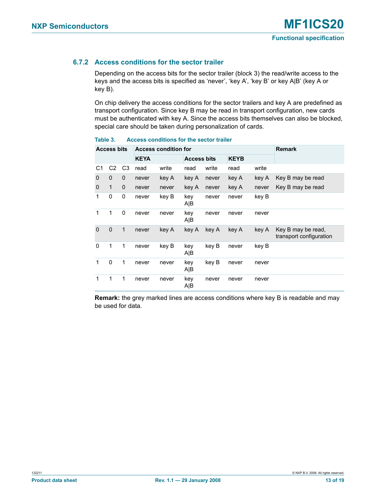## <span id="page-12-1"></span>**6.7.2 Access conditions for the sector trailer**

Depending on the access bits for the sector trailer (block 3) the read/write access to the keys and the access bits is specified as 'never', 'key A', 'key B' or key A|B' (key A or key B).

On chip delivery the access conditions for the sector trailers and key A are predefined as transport configuration. Since key B may be read in transport configuration, new cards must be authenticated with key A. Since the access bits themselves can also be blocked, special care should be taken during personalization of cards.

|                | <b>Access bits</b> |              |             | <b>Access condition for</b> |                    |       |             |       | <b>Remark</b>                                 |
|----------------|--------------------|--------------|-------------|-----------------------------|--------------------|-------|-------------|-------|-----------------------------------------------|
|                |                    |              | <b>KEYA</b> |                             | <b>Access bits</b> |       | <b>KEYB</b> |       |                                               |
| C <sub>1</sub> | C <sub>2</sub>     | C3           | read        | write                       | read               | write | read        | write |                                               |
| 0              | $\mathbf 0$        | $\mathbf 0$  | never       | key A                       | key A              | never | key A       | key A | Key B may be read                             |
| 0              | $\mathbf{1}$       | $\mathbf 0$  | never       | never                       | key A              | never | key A       | never | Key B may be read                             |
| 1              | 0                  | 0            | never       | key B                       | key<br>A B         | never | never       | key B |                                               |
| 1              | 1                  | 0            | never       | never                       | key<br>A B         | never | never       | never |                                               |
| $\Omega$       | $\mathbf 0$        | $\mathbf{1}$ | never       | key A                       | key A              | key A | key A       | key A | Key B may be read,<br>transport configuration |
| 0              | 1                  | 1            | never       | key B                       | key<br>A B         | key B | never       | key B |                                               |
| 1              | $\Omega$           | 1            | never       | never                       | key<br>A B         | key B | never       | never |                                               |
| 1              | 1                  | 1            | never       | never                       | key<br>A B         | never | never       | never |                                               |

#### <span id="page-12-0"></span>**Table 3. Access conditions for the sector trailer**

**Remark:** the grey marked lines are access conditions where key B is readable and may be used for data.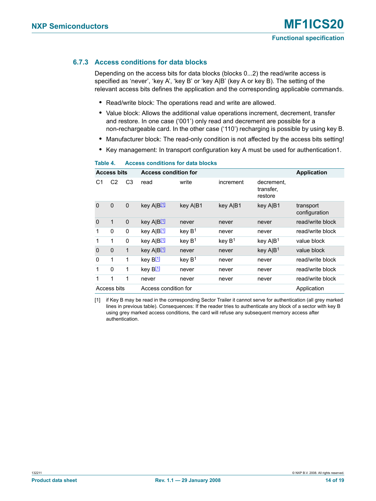### <span id="page-13-2"></span>**6.7.3 Access conditions for data blocks**

Depending on the access bits for data blocks (blocks 0...2) the read/write access is specified as 'never', 'key A', 'key B' or 'key A|B' (key A or key B). The setting of the relevant access bits defines the application and the corresponding applicable commands.

- **•** Read/write block: The operations read and write are allowed.
- **•** Value block: Allows the additional value operations increment, decrement, transfer and restore. In one case ('001') only read and decrement are possible for a non-rechargeable card. In the other case ('110') recharging is possible by using key B.
- **•** Manufacturer block: The read-only condition is not affected by the access bits setting!
- **•** Key management: In transport configuration key A must be used for authentication1.

|             | <b>Access bits</b> |                | <b>Access condition for</b> |                    |                    |                                    | <b>Application</b>         |
|-------------|--------------------|----------------|-----------------------------|--------------------|--------------------|------------------------------------|----------------------------|
| С1          | C <sub>2</sub>     | C <sub>3</sub> | read                        | write              | increment          | decrement,<br>transfer,<br>restore |                            |
| $\mathbf 0$ | $\mathbf 0$        | $\mathbf 0$    | key A B[1]                  | key A B1           | key A B1           | key A B1                           | transport<br>configuration |
| $\mathbf 0$ | 1                  | $\mathbf 0$    | key A B[1]                  | never              | never              | never                              | read/write block           |
| 1           | 0                  | 0              | key A B[1]                  | key B <sup>1</sup> | never              | never                              | read/write block           |
| 1           | 1                  | 0              | key A B <sup>[1]</sup>      | key $B1$           | key B <sup>1</sup> | key $A B^1$                        | value block                |
| $\mathbf 0$ | 0                  | $\mathbf{1}$   | key A B[1]                  | never              | never              | key A B <sup>1</sup>               | value block                |
| $\Omega$    | 1                  | 1              | key B <sup>[1]</sup>        | key $B1$           | never              | never                              | read/write block           |
| 1           | $\Omega$           | 1              | key B <sup>[1]</sup>        | never              | never              | never                              | read/write block           |
| 1           | 1                  | 1              | never                       | never              | never              | never                              | read/write block           |
|             | Access bits        |                | Access condition for        |                    |                    |                                    | Application                |

#### <span id="page-13-1"></span>**Table 4. Access conditions for data blocks**

<span id="page-13-0"></span>[1] if Key B may be read in the corresponding Sector Trailer it cannot serve for authentication (all grey marked lines in previous table). Consequences: If the reader tries to authenticate any block of a sector with key B using grey marked access conditions, the card will refuse any subsequent memory access after authentication.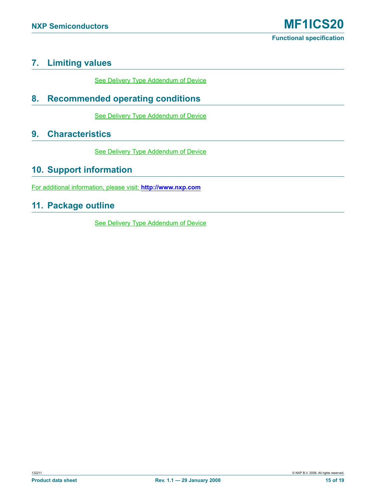## <span id="page-14-0"></span>**7. Limiting values**

See Delivery Type Addendum of Device

## <span id="page-14-1"></span>**8. Recommended operating conditions**

**See Delivery Type Addendum of Device** 

## <span id="page-14-2"></span>**9. Characteristics**

See Delivery Type Addendum of Device

## <span id="page-14-3"></span>**10. Support information**

For additional information, please visit: **http://www.nxp.com**

## <span id="page-14-4"></span>**11. Package outline**

See Delivery Type Addendum of Device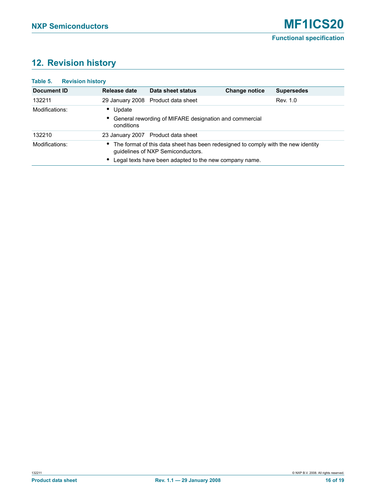## <span id="page-15-1"></span>**12. Revision history**

<span id="page-15-0"></span>

| Table 5.<br><b>Revision history</b> |                                        |                                                                                                                          |               |                   |
|-------------------------------------|----------------------------------------|--------------------------------------------------------------------------------------------------------------------------|---------------|-------------------|
| Document ID                         | Release date                           | Data sheet status                                                                                                        | Change notice | <b>Supersedes</b> |
| 132211                              |                                        | 29 January 2008 Product data sheet                                                                                       |               | Rev. 1.0          |
| Modifications:                      | Update<br>٠<br>$\bullet$<br>conditions | General rewording of MIFARE designation and commercial                                                                   |               |                   |
| 132210                              |                                        | 23 January 2007 Product data sheet                                                                                       |               |                   |
| Modifications:                      |                                        | • The format of this data sheet has been redesigned to comply with the new identity<br>guidelines of NXP Semiconductors. |               |                   |
|                                     |                                        | Legal texts have been adapted to the new company name.                                                                   |               |                   |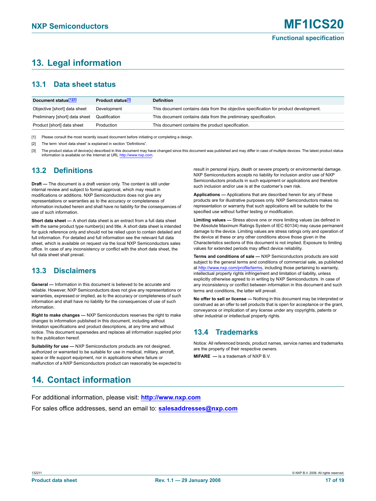## <span id="page-16-0"></span>**13. Legal information**

## <span id="page-16-1"></span>**13.1 Data sheet status**

| Document status <sup>[1][2]</sup> | Product status <sup>[3]</sup> | <b>Definition</b>                                                                     |
|-----------------------------------|-------------------------------|---------------------------------------------------------------------------------------|
| Objective [short] data sheet      | Development                   | This document contains data from the objective specification for product development. |
| Preliminary [short] data sheet    | Qualification                 | This document contains data from the preliminary specification.                       |
| Product [short] data sheet        | Production                    | This document contains the product specification.                                     |

[1] Please consult the most recently issued document before initiating or completing a design.

[2] The term 'short data sheet' is explained in section "Definitions"

[3] The product status of device(s) described in this document may have changed since this document was published and may differ in case of multiple devices. The latest product status information is available on the Internet at URL <http://www.nxp.com>.

## <span id="page-16-2"></span>**13.2 Definitions**

**Draft —** The document is a draft version only. The content is still under internal review and subject to formal approval, which may result in modifications or additions. NXP Semiconductors does not give any representations or warranties as to the accuracy or completeness of information included herein and shall have no liability for the consequences of use of such information.

**Short data sheet —** A short data sheet is an extract from a full data sheet with the same product type number(s) and title. A short data sheet is intended for quick reference only and should not be relied upon to contain detailed and full information. For detailed and full information see the relevant full data sheet, which is available on request via the local NXP Semiconductors sales office. In case of any inconsistency or conflict with the short data sheet, the full data sheet shall prevail.

## <span id="page-16-3"></span>**13.3 Disclaimers**

**General —** Information in this document is believed to be accurate and reliable. However, NXP Semiconductors does not give any representations or warranties, expressed or implied, as to the accuracy or completeness of such information and shall have no liability for the consequences of use of such information.

**Right to make changes —** NXP Semiconductors reserves the right to make changes to information published in this document, including without limitation specifications and product descriptions, at any time and without notice. This document supersedes and replaces all information supplied prior to the publication hereof.

**Suitability for use —** NXP Semiconductors products are not designed, authorized or warranted to be suitable for use in medical, military, aircraft, space or life support equipment, nor in applications where failure or malfunction of a NXP Semiconductors product can reasonably be expected to result in personal injury, death or severe property or environmental damage. NXP Semiconductors accepts no liability for inclusion and/or use of NXP Semiconductors products in such equipment or applications and therefore such inclusion and/or use is at the customer's own risk.

**Applications —** Applications that are described herein for any of these products are for illustrative purposes only. NXP Semiconductors makes no representation or warranty that such applications will be suitable for the specified use without further testing or modification.

**Limiting values —** Stress above one or more limiting values (as defined in the Absolute Maximum Ratings System of IEC 60134) may cause permanent damage to the device. Limiting values are stress ratings only and operation of the device at these or any other conditions above those given in the Characteristics sections of this document is not implied. Exposure to limiting values for extended periods may affect device reliability.

**Terms and conditions of sale —** NXP Semiconductors products are sold subject to the general terms and conditions of commercial sale, as published at<http://www.nxp.com/profile/terms>, including those pertaining to warranty, intellectual property rights infringement and limitation of liability, unless explicitly otherwise agreed to in writing by NXP Semiconductors. In case of any inconsistency or conflict between information in this document and such terms and conditions, the latter will prevail.

**No offer to sell or license —** Nothing in this document may be interpreted or construed as an offer to sell products that is open for acceptance or the grant, conveyance or implication of any license under any copyrights, patents or other industrial or intellectual property rights.

## <span id="page-16-4"></span>**13.4 Trademarks**

Notice: All referenced brands, product names, service names and trademarks are the property of their respective owners.

**MIFARE —** is a trademark of NXP B.V.

## <span id="page-16-5"></span>**14. Contact information**

For additional information, please visit: **http://www.nxp.com**

For sales office addresses, send an email to: **salesaddresses@nxp.com**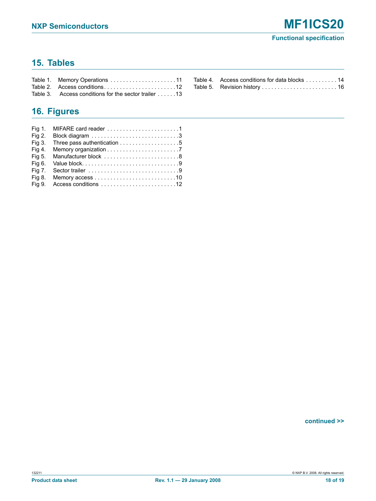## <span id="page-17-0"></span>**15. Tables**

| Table 3. Access conditions for the sector trailer $\dots$ 13 |  |
|--------------------------------------------------------------|--|

#### Table 4. Access conditions for data blocks . . . . . . . . . 14 [Table 5. Revision history . . . . . . . . . . . . . . . . . . . . . . . . 16](#page-15-0)

## <span id="page-17-1"></span>**16. Figures**

| Fig 2.        |              |
|---------------|--------------|
| <b>Fig 3.</b> |              |
| Fig 4.        |              |
| Fig 5.        |              |
| Fig 6.        | Value block9 |
| <b>Fig 7.</b> |              |
| Fig 8.        |              |
| Fig 9.        |              |

**continued >>**